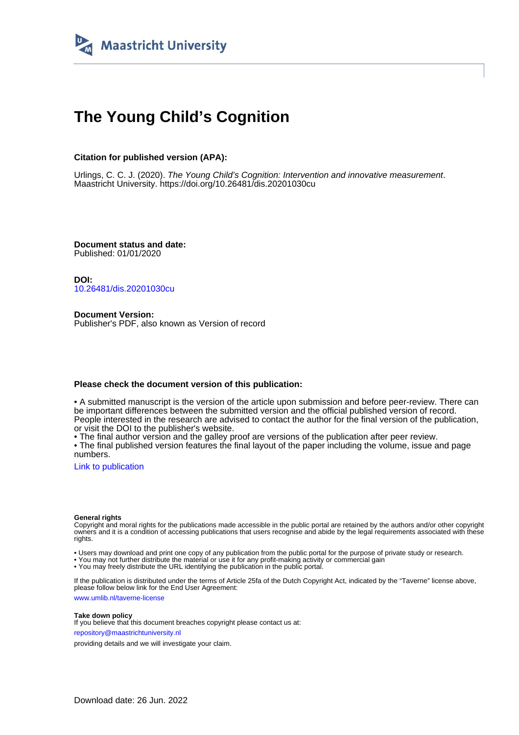

# **The Young Child's Cognition**

## **Citation for published version (APA):**

Urlings, C. C. J. (2020). The Young Child's Cognition: Intervention and innovative measurement. Maastricht University.<https://doi.org/10.26481/dis.20201030cu>

**Document status and date:** Published: 01/01/2020

**DOI:** [10.26481/dis.20201030cu](https://doi.org/10.26481/dis.20201030cu)

**Document Version:** Publisher's PDF, also known as Version of record

### **Please check the document version of this publication:**

• A submitted manuscript is the version of the article upon submission and before peer-review. There can be important differences between the submitted version and the official published version of record. People interested in the research are advised to contact the author for the final version of the publication, or visit the DOI to the publisher's website.

• The final author version and the galley proof are versions of the publication after peer review.

• The final published version features the final layout of the paper including the volume, issue and page numbers.

[Link to publication](https://cris.maastrichtuniversity.nl/en/publications/df24cc7b-422f-4b8b-9438-85eaf32d057e)

#### **General rights**

Copyright and moral rights for the publications made accessible in the public portal are retained by the authors and/or other copyright owners and it is a condition of accessing publications that users recognise and abide by the legal requirements associated with these rights.

• Users may download and print one copy of any publication from the public portal for the purpose of private study or research.

• You may not further distribute the material or use it for any profit-making activity or commercial gain

• You may freely distribute the URL identifying the publication in the public portal.

If the publication is distributed under the terms of Article 25fa of the Dutch Copyright Act, indicated by the "Taverne" license above, please follow below link for the End User Agreement:

www.umlib.nl/taverne-license

#### **Take down policy**

If you believe that this document breaches copyright please contact us at: repository@maastrichtuniversity.nl

providing details and we will investigate your claim.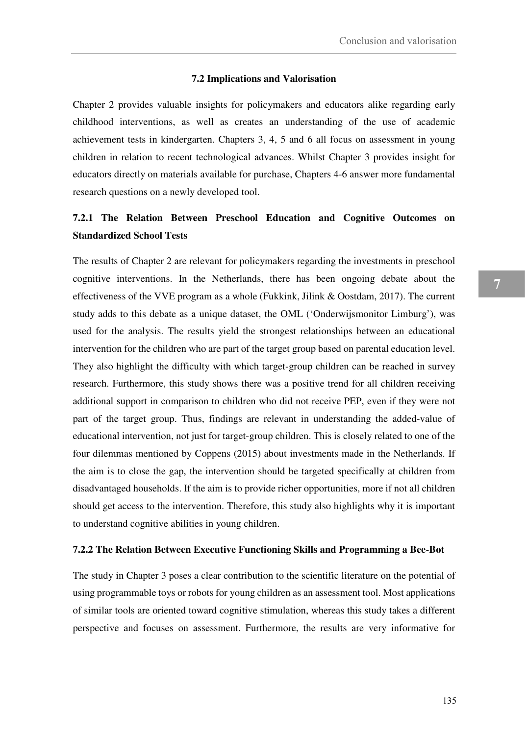#### **7.2 Implications and Valorisation**

Chapter 2 provides valuable insights for policymakers and educators alike regarding early childhood interventions, as well as creates an understanding of the use of academic achievement tests in kindergarten. Chapters 3, 4, 5 and 6 all focus on assessment in young children in relation to recent technological advances. Whilst Chapter 3 provides insight for educators directly on materials available for purchase, Chapters 4-6 answer more fundamental research questions on a newly developed tool.

## **7.2.1 The Relation Between Preschool Education and Cognitive Outcomes on Standardized School Tests**

The results of Chapter 2 are relevant for policymakers regarding the investments in preschool cognitive interventions. In the Netherlands, there has been ongoing debate about the effectiveness of the VVE program as a whole (Fukkink, Jilink & Oostdam, 2017). The current study adds to this debate as a unique dataset, the OML ('Onderwijsmonitor Limburg'), was used for the analysis. The results yield the strongest relationships between an educational intervention for the children who are part of the target group based on parental education level. They also highlight the difficulty with which target-group children can be reached in survey research. Furthermore, this study shows there was a positive trend for all children receiving additional support in comparison to children who did not receive PEP, even if they were not part of the target group. Thus, findings are relevant in understanding the added-value of educational intervention, not just for target-group children. This is closely related to one of the four dilemmas mentioned by Coppens (2015) about investments made in the Netherlands. If the aim is to close the gap, the intervention should be targeted specifically at children from disadvantaged households. If the aim is to provide richer opportunities, more if not all children should get access to the intervention. Therefore, this study also highlights why it is important to understand cognitive abilities in young children.

#### **7.2.2 The Relation Between Executive Functioning Skills and Programming a Bee-Bot**

The study in Chapter 3 poses a clear contribution to the scientific literature on the potential of using programmable toys or robots for young children as an assessment tool. Most applications of similar tools are oriented toward cognitive stimulation, whereas this study takes a different perspective and focuses on assessment. Furthermore, the results are very informative for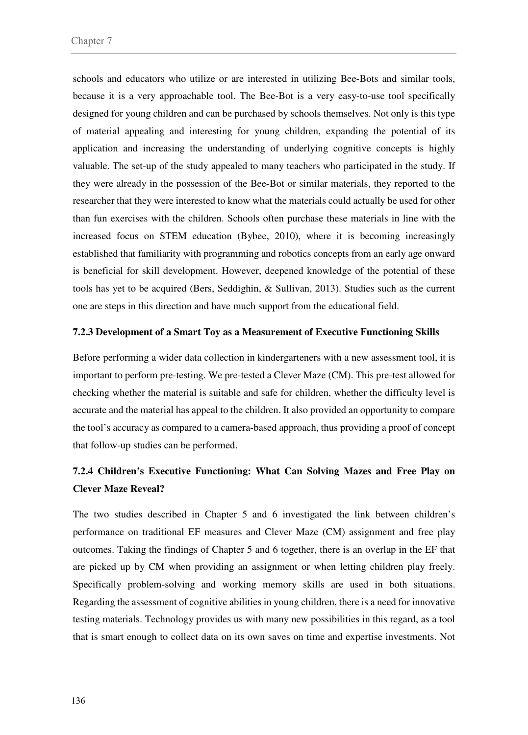schools and educators who utilize or are interested in utilizing Bee-Bots and similar tools, because it is a very approachable tool. The Bee-Bot is a very easy-to-use tool specifically designed for young children and can be purchased by schools themselves. Not only is this type of material appealing and interesting for young children, expanding the potential of its application and increasing the understanding of underlying cognitive concepts is highly valuable. The set-up of the study appealed to many teachers who participated in the study. If they were already in the possession of the Bee-Bot or similar materials, they reported to the researcher that they were interested to know what the materials could actually be used for other than fun exercises with the children. Schools often purchase these materials in line with the increased focus on STEM education (Bybee, 2010), where it is becoming increasingly established that familiarity with programming and robotics concepts from an early age onward is beneficial for skill development. However, deepened knowledge of the potential of these tools has yet to be acquired (Bers, Seddighin, & Sullivan, 2013). Studies such as the current one are steps in this direction and have much support from the educational field.

#### **7.2.3 Development of a Smart Toy as a Measurement of Executive Functioning Skills**

Before performing a wider data collection in kindergarteners with a new assessment tool, it is important to perform pre-testing. We pre-tested a Clever Maze (CM). This pre-test allowed for checking whether the material is suitable and safe for children, whether the difficulty level is accurate and the material has appeal to the children. It also provided an opportunity to compare the tool's accuracy as compared to a camera-based approach, thus providing a proof of concept that follow-up studies can be performed.

# **7.2.4 Children's Executive Functioning: What Can Solving Mazes and Free Play on Clever Maze Reveal?**

The two studies described in Chapter 5 and 6 investigated the link between children's performance on traditional EF measures and Clever Maze (CM) assignment and free play outcomes. Taking the findings of Chapter 5 and 6 together, there is an overlap in the EF that are picked up by CM when providing an assignment or when letting children play freely. Specifically problem-solving and working memory skills are used in both situations. Regarding the assessment of cognitive abilities in young children, there is a need for innovative testing materials. Technology provides us with many new possibilities in this regard, as a tool that is smart enough to collect data on its own saves on time and expertise investments. Not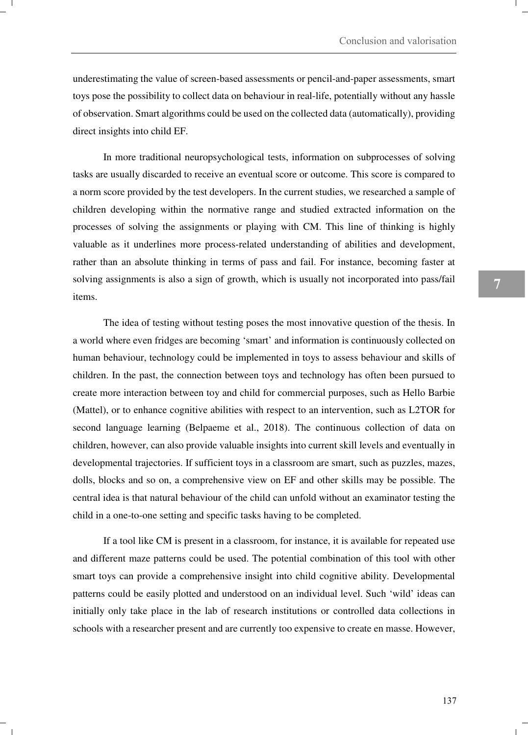underestimating the value of screen-based assessments or pencil-and-paper assessments, smart toys pose the possibility to collect data on behaviour in real-life, potentially without any hassle of observation. Smart algorithms could be used on the collected data (automatically), providing direct insights into child EF.

In more traditional neuropsychological tests, information on subprocesses of solving tasks are usually discarded to receive an eventual score or outcome. This score is compared to a norm score provided by the test developers. In the current studies, we researched a sample of children developing within the normative range and studied extracted information on the processes of solving the assignments or playing with CM. This line of thinking is highly valuable as it underlines more process-related understanding of abilities and development, rather than an absolute thinking in terms of pass and fail. For instance, becoming faster at solving assignments is also a sign of growth, which is usually not incorporated into pass/fail items.

 The idea of testing without testing poses the most innovative question of the thesis. In a world where even fridges are becoming 'smart' and information is continuously collected on human behaviour, technology could be implemented in toys to assess behaviour and skills of children. In the past, the connection between toys and technology has often been pursued to create more interaction between toy and child for commercial purposes, such as Hello Barbie (Mattel), or to enhance cognitive abilities with respect to an intervention, such as L2TOR for second language learning (Belpaeme et al., 2018). The continuous collection of data on children, however, can also provide valuable insights into current skill levels and eventually in developmental trajectories. If sufficient toys in a classroom are smart, such as puzzles, mazes, dolls, blocks and so on, a comprehensive view on EF and other skills may be possible. The central idea is that natural behaviour of the child can unfold without an examinator testing the child in a one-to-one setting and specific tasks having to be completed.

 If a tool like CM is present in a classroom, for instance, it is available for repeated use and different maze patterns could be used. The potential combination of this tool with other smart toys can provide a comprehensive insight into child cognitive ability. Developmental patterns could be easily plotted and understood on an individual level. Such 'wild' ideas can initially only take place in the lab of research institutions or controlled data collections in schools with a researcher present and are currently too expensive to create en masse. However,

137